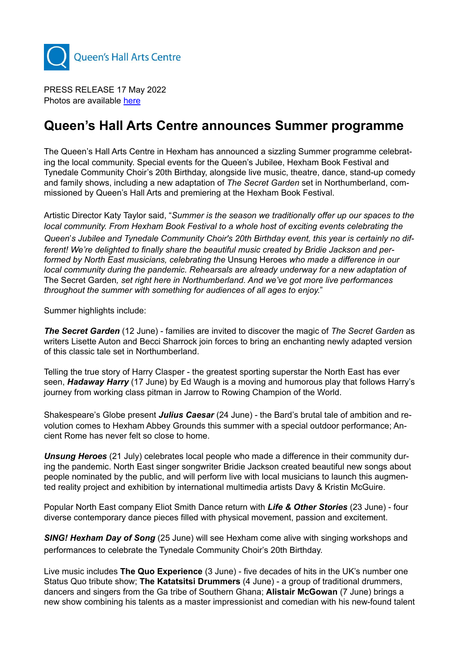

PRESS RELEASE 17 May 2022 Photos are available [here](https://www.dropbox.com/sh/o4val982w1cvih7/AACJPeg9UaN-Tfr7BqUDUL1Ta?dl=0)

# **Queen's Hall Arts Centre announces Summer programme**

The Queen's Hall Arts Centre in Hexham has announced a sizzling Summer programme celebrating the local community. Special events for the Queen's Jubilee, Hexham Book Festival and Tynedale Community Choir's 20th Birthday, alongside live music, theatre, dance, stand-up comedy and family shows, including a new adaptation of *The Secret Garden* set in Northumberland, commissioned by Queen's Hall Arts and premiering at the Hexham Book Festival.

Artistic Director Katy Taylor said, "*Summer is the season we traditionally offer up our spaces to the local community. From Hexham Book Festival to a whole host of exciting events celebrating the*  Queen's Jubilee and Tynedale Community Choir's 20th Birthday event, this year is certainly no dif*ferent! We're delighted to finally share the beautiful music created by Bridie Jackson and performed by North East musicians, celebrating the* Unsung Heroes *who made a difference in our local community during the pandemic. Rehearsals are already underway for a new adaptation of*  The Secret Garden*, set right here in Northumberland. And we've got more live performances throughout the summer with something for audiences of all ages to enjoy.*"

Summer highlights include:

*The Secret Garden* (12 June) - families are invited to discover the magic of *The Secret Garden* as writers Lisette Auton and Becci Sharrock join forces to bring an enchanting newly adapted version of this classic tale set in Northumberland.

Telling the true story of Harry Clasper - the greatest sporting superstar the North East has ever seen, *Hadaway Harry* (17 June) by Ed Waugh is a moving and humorous play that follows Harry's journey from working class pitman in Jarrow to Rowing Champion of the World.

Shakespeare's Globe present **Julius Caesar** (24 June) - the Bard's brutal tale of ambition and revolution comes to Hexham Abbey Grounds this summer with a special outdoor performance; Ancient Rome has never felt so close to home.

*Unsung Heroes* (21 July) celebrates local people who made a difference in their community during the pandemic. North East singer songwriter Bridie Jackson created beautiful new songs about people nominated by the public, and will perform live with local musicians to launch this augmented reality project and exhibition by international multimedia artists Davy & Kristin McGuire.

Popular North East company Eliot Smith Dance return with *Life & Other Stories* (23 June) - four diverse contemporary dance pieces filled with physical movement, passion and excitement.

*SING! Hexham Day of Song* (25 June) will see Hexham come alive with singing workshops and performances to celebrate the Tynedale Community Choir's 20th Birthday.

Live music includes **The Quo Experience** (3 June) - five decades of hits in the UK's number one Status Quo tribute show; **The Katatsitsi Drummers** (4 June) - a group of traditional drummers, dancers and singers from the Ga tribe of Southern Ghana; **Alistair McGowan** (7 June) brings a new show combining his talents as a master impressionist and comedian with his new-found talent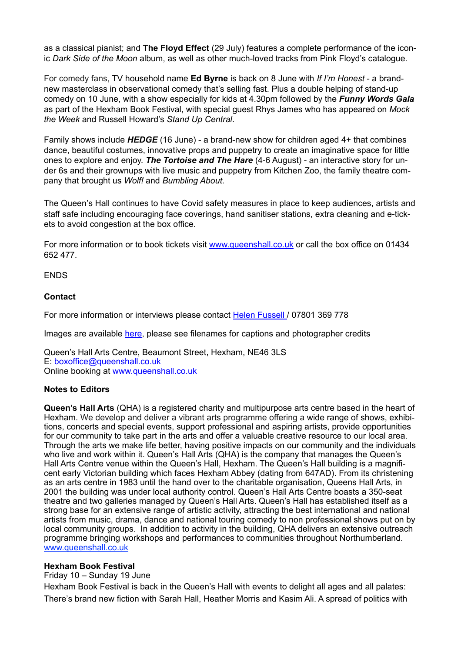as a classical pianist; and **The Floyd Effect** (29 July) features a complete performance of the iconic *Dark Side of the Moon* album, as well as other much-loved tracks from Pink Floyd's catalogue.

For comedy fans, TV household name **Ed Byrne** is back on 8 June with *If I'm Honest* - a brandnew masterclass in observational comedy that's selling fast. Plus a double helping of stand-up comedy on 10 June, with a show especially for kids at 4.30pm followed by the *Funny Words Gala* as part of the Hexham Book Festival, with special guest Rhys James who has appeared on *Mock the Week* and Russell Howard's *Stand Up Central*.

Family shows include *HEDGE* (16 June) - a brand-new show for children aged 4+ that combines dance, beautiful costumes, innovative props and puppetry to create an imaginative space for little ones to explore and enjoy. *The Tortoise and The Hare* (4-6 August) - an interactive story for under 6s and their grownups with live music and puppetry from Kitchen Zoo, the family theatre company that brought us *Wolf!* and *Bumbling About*.

The Queen's Hall continues to have Covid safety measures in place to keep audiences, artists and staff safe including encouraging face coverings, hand sanitiser stations, extra cleaning and e-tickets to avoid congestion at the box office.

For more information or to book tickets visit [www.queenshall.co.uk](http://www.queenshall.co.uk) or call the box office on 01434 652 477.

ENDS

### **Contact**

For more information or interviews please contact [Helen Fussell](mailto:helen.fussell@gmail.com) / 07801 369 778

Images are available [here](https://www.dropbox.com/sh/o4val982w1cvih7/AACJPeg9UaN-Tfr7BqUDUL1Ta?dl=0), please see filenames for captions and photographer credits

Queen's Hall Arts Centre, Beaumont Street, Hexham, NE46 3LS E: boxoffice@queenshall.co.uk Online booking at www.queenshall.co.uk

#### **Notes to Editors**

**Queen's Hall Arts** (QHA) is a registered charity and multipurpose arts centre based in the heart of Hexham. We develop and deliver a vibrant arts programme offering a wide range of shows, exhibitions, concerts and special events, support professional and aspiring artists, provide opportunities for our community to take part in the arts and offer a valuable creative resource to our local area. Through the arts we make life better, having positive impacts on our community and the individuals who live and work within it. Queen's Hall Arts (QHA) is the company that manages the Queen's Hall Arts Centre venue within the Queen's Hall, Hexham. The Queen's Hall building is a magnificent early Victorian building which faces Hexham Abbey (dating from 647AD). From its christening as an arts centre in 1983 until the hand over to the charitable organisation, Queens Hall Arts, in 2001 the building was under local authority control. Queen's Hall Arts Centre boasts a 350-seat theatre and two galleries managed by Queen's Hall Arts. Queen's Hall has established itself as a strong base for an extensive range of artistic activity, attracting the best international and national artists from music, drama, dance and national touring comedy to non professional shows put on by local community groups. In addition to activity in the building, QHA delivers an extensive outreach programme bringing workshops and performances to communities throughout Northumberland. [www.queenshall.co.uk](https://www.queenshall.co.uk/)

#### **Hexham Book Festival**

Friday 10 – Sunday 19 June

Hexham Book Festival is back in the Queen's Hall with events to delight all ages and all palates: There's brand new fiction with Sarah Hall, Heather Morris and Kasim Ali. A spread of politics with